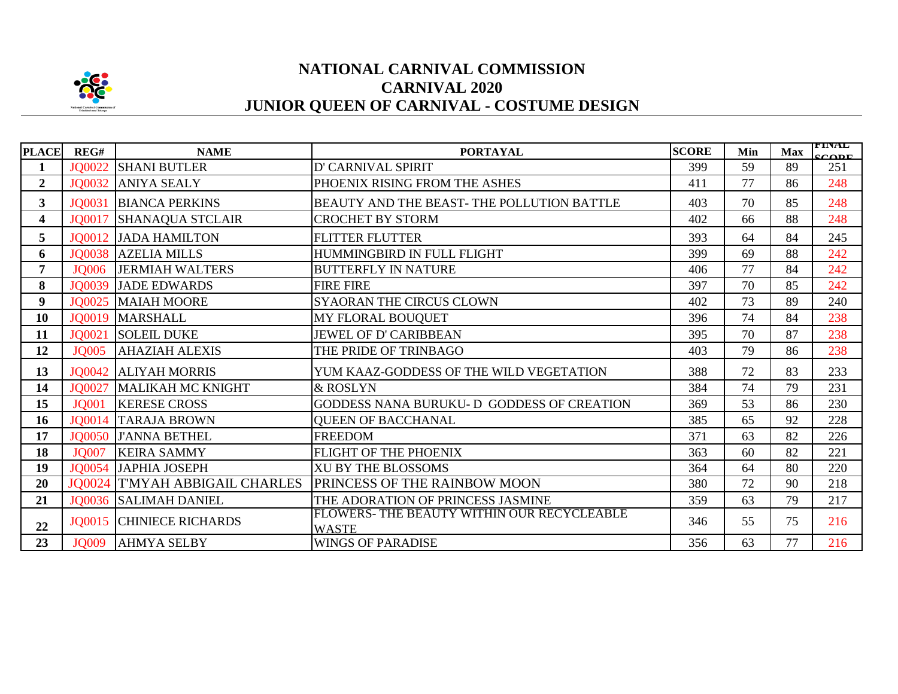

## **NATIONAL CARNIVAL COMMISSION CARNIVAL 2020 JUNIOR QUEEN OF CARNIVAL - COSTUME DESIGN**

|                |               |                                       |                                                            |              |     |            | <b>TINAL</b> |
|----------------|---------------|---------------------------------------|------------------------------------------------------------|--------------|-----|------------|--------------|
| <b>PLACE</b>   | REG#          | <b>NAME</b>                           | <b>PORTAYAL</b>                                            | <b>SCORE</b> | Min | <b>Max</b> | CODF         |
| 1              | JO0022        | <b>SHANI BUTLER</b>                   | D' CARNIVAL SPIRIT                                         | 399          | 59  | 89         | 251          |
| $\mathbf{2}$   | JQ0032        | <b>ANIYA SEALY</b>                    | PHOENIX RISING FROM THE ASHES                              | 411          | 77  | 86         | 248          |
| 3 <sup>1</sup> | JQ0031        | <b>BIANCA PERKINS</b>                 | BEAUTY AND THE BEAST-THE POLLUTION BATTLE                  | 403          | 70  | 85         | 248          |
| 4              | JQ0017        | <b>SHANAQUA STCLAIR</b>               | <b>CROCHET BY STORM</b>                                    | 402          | 66  | 88         | 248          |
| 5              | JQ0012        | <b>JADA HAMILTON</b>                  | <b>FLITTER FLUTTER</b>                                     | 393          | 64  | 84         | 245          |
| 6              | JQ0038        | <b>AZELIA MILLS</b>                   | HUMMINGBIRD IN FULL FLIGHT                                 | 399          | 69  | 88         | 242          |
| 7              | <b>JQ006</b>  | <b>JERMIAH WALTERS</b>                | <b>BUTTERFLY IN NATURE</b>                                 | 406          | 77  | 84         | 242          |
| 8              | JQ0039        | <b>JADE EDWARDS</b>                   | <b>FIRE FIRE</b>                                           | 397          | 70  | 85         | 242          |
| 9 <sup>°</sup> |               | <b>JO0025 MAIAH MOORE</b>             | <b>SYAORAN THE CIRCUS CLOWN</b>                            | 402          | 73  | 89         | 240          |
| 10             |               | JQ0019   MARSHALL                     | MY FLORAL BOUQUET                                          | 396          | 74  | 84         | 238          |
| 11             | JQ0021        | <b>SOLEIL DUKE</b>                    | JEWEL OF D' CARIBBEAN                                      | 395          | 70  | 87         | 238          |
| 12             | <b>JQ005</b>  | <b>AHAZIAH ALEXIS</b>                 | THE PRIDE OF TRINBAGO                                      | 403          | 79  | 86         | 238          |
| 13             | JQ0042        | <b>ALIYAH MORRIS</b>                  | YUM KAAZ-GODDESS OF THE WILD VEGETATION                    | 388          | 72  | 83         | 233          |
| 14             | JO0027        | MALIKAH MC KNIGHT                     | & ROSLYN                                                   | 384          | 74  | 79         | 231          |
| 15             | <b>JQ001</b>  | <b>KERESE CROSS</b>                   | GODDESS NANA BURUKU-D GODDESS OF CREATION                  | 369          | 53  | 86         | 230          |
| 16             |               | JQ0014 TARAJA BROWN                   | <b>QUEEN OF BACCHANAL</b>                                  | 385          | 65  | 92         | 228          |
| 17             | <b>JO0050</b> | <b>J'ANNA BETHEL</b>                  | <b>FREEDOM</b>                                             | 371          | 63  | 82         | 226          |
| 18             | <b>JQ007</b>  | <b>KEIRA SAMMY</b>                    | FLIGHT OF THE PHOENIX                                      | 363          | 60  | 82         | 221          |
| 19             |               | JQ0054 JAPHIA JOSEPH                  | <b>XU BY THE BLOSSOMS</b>                                  | 364          | 64  | 80         | 220          |
| 20             |               | <b>JQ0024 T'MYAH ABBIGAIL CHARLES</b> | <b>PRINCESS OF THE RAINBOW MOON</b>                        | 380          | 72  | 90         | 218          |
| 21             |               | <b>JO0036 SALIMAH DANIEL</b>          | THE ADORATION OF PRINCESS JASMINE                          | 359          | 63  | 79         | 217          |
| 22             |               | <b>JQ0015 CHINIECE RICHARDS</b>       | FLOWERS- THE BEAUTY WITHIN OUR RECYCLEABLE<br><b>WASTE</b> | 346          | 55  | 75         | 216          |
| 23             | <b>JQ009</b>  | <b>AHMYA SELBY</b>                    | <b>WINGS OF PARADISE</b>                                   | 356          | 63  | 77         | 216          |